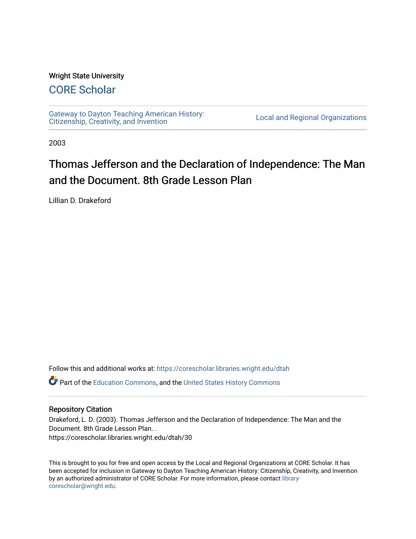### Wright State University

# [CORE Scholar](https://corescholar.libraries.wright.edu/)

[Gateway to Dayton Teaching American History:](https://corescholar.libraries.wright.edu/dtah)  Gateway to Dayton Teaching American History.<br>[Citizenship, Creativity, and Invention](https://corescholar.libraries.wright.edu/dtah) Local and Regional Organizations

2003

# Thomas Jefferson and the Declaration of Independence: The Man and the Document. 8th Grade Lesson Plan

Lillian D. Drakeford

Follow this and additional works at: [https://corescholar.libraries.wright.edu/dtah](https://corescholar.libraries.wright.edu/dtah?utm_source=corescholar.libraries.wright.edu%2Fdtah%2F30&utm_medium=PDF&utm_campaign=PDFCoverPages)

Part of the [Education Commons](http://network.bepress.com/hgg/discipline/784?utm_source=corescholar.libraries.wright.edu%2Fdtah%2F30&utm_medium=PDF&utm_campaign=PDFCoverPages), and the [United States History Commons](http://network.bepress.com/hgg/discipline/495?utm_source=corescholar.libraries.wright.edu%2Fdtah%2F30&utm_medium=PDF&utm_campaign=PDFCoverPages) 

#### Repository Citation

Drakeford, L. D. (2003). Thomas Jefferson and the Declaration of Independence: The Man and the Document. 8th Grade Lesson Plan. . https://corescholar.libraries.wright.edu/dtah/30

This is brought to you for free and open access by the Local and Regional Organizations at CORE Scholar. It has been accepted for inclusion in Gateway to Dayton Teaching American History: Citizenship, Creativity, and Invention by an authorized administrator of CORE Scholar. For more information, please contact [library](mailto:library-corescholar@wright.edu)[corescholar@wright.edu](mailto:library-corescholar@wright.edu).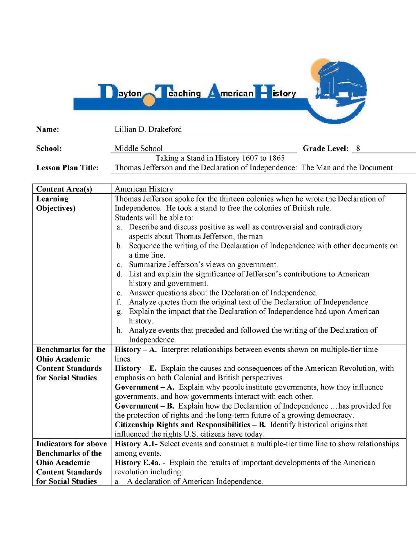**Dayton Calching American Pistory** 

| Name:                                          | Lillian D. Drakeford                                                                                                                       |
|------------------------------------------------|--------------------------------------------------------------------------------------------------------------------------------------------|
| School:                                        | Middle School<br>Grade Level: 8                                                                                                            |
|                                                | Taking a Stand in History 1607 to 1865                                                                                                     |
| <b>Lesson Plan Title:</b>                      | Thomas Jefferson and the Declaration of Independence: The Man and the Document                                                             |
|                                                |                                                                                                                                            |
| <b>Content Area(s)</b>                         | American History                                                                                                                           |
| Learning                                       | Thomas Jefferson spoke for the thirteen colonies when he wrote the Declaration of                                                          |
| Objectives)                                    | Independence. He took a stand to free the colonies of British rule.                                                                        |
|                                                | Students will be able to:                                                                                                                  |
|                                                | Describe and discuss positive as well as controversial and contradictory<br>a.                                                             |
|                                                | aspects about Thomas Jefferson, the man.                                                                                                   |
|                                                | b. Sequence the writing of the Declaration of Independence with other documents on                                                         |
|                                                | a time line.                                                                                                                               |
|                                                | c. Summarize Jefferson's views on government.                                                                                              |
|                                                | d. List and explain the significance of Jefferson's contributions to American                                                              |
|                                                | history and government.                                                                                                                    |
|                                                | e. Answer questions about the Declaration of Independence.                                                                                 |
|                                                | Analyze quotes from the original text of the Declaration of Independence.<br>f.                                                            |
|                                                | Explain the impact that the Declaration of Independence had upon American                                                                  |
|                                                | history.                                                                                                                                   |
|                                                | h. Analyze events that preceded and followed the writing of the Declaration of                                                             |
|                                                | Independence.                                                                                                                              |
| <b>Benchmarks for the</b>                      | $\bf{History - A.}$ Interpret relationships between events shown on multiple-tier time                                                     |
| <b>Ohio Academic</b>                           | lines.                                                                                                                                     |
| <b>Content Standards</b><br>for Social Studies | $History – E. Explain the causes and consequences of the American Revolution, with$<br>emphasis on both Colonial and British perspectives. |
|                                                | <b>Government</b> $-A$ . Explain why people institute governments, how they influence                                                      |
|                                                | governments, and how governments interact with each other.                                                                                 |
|                                                | <b>Government – B.</b> Explain how the Declaration of Independence  has provided for                                                       |
|                                                | the protection of rights and the long-term future of a growing democracy.                                                                  |
|                                                | Citizenship Rights and Responsibilities $-$ B. Identify historical origins that                                                            |
|                                                | influenced the rights U.S. citizens have today.                                                                                            |
| <b>Indicators for above</b>                    | History A.1- Select events and construct a multiple-tier time line to show relationships                                                   |
| <b>Benchmarks of the</b>                       | among events.                                                                                                                              |
| <b>Ohio Academic</b>                           | History E.4a. - Explain the results of important developments of the American                                                              |
| <b>Content Standards</b>                       | revolution including:                                                                                                                      |
| for Social Studies                             | a. A declaration of American Independence.                                                                                                 |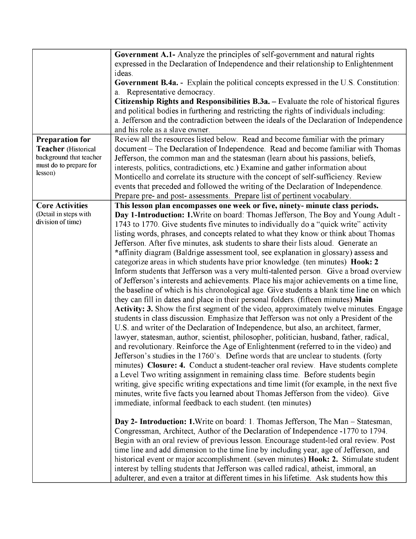|                                            | Government A.1- Analyze the principles of self-government and natural rights<br>expressed in the Declaration of Independence and their relationship to Enlightenment     |
|--------------------------------------------|--------------------------------------------------------------------------------------------------------------------------------------------------------------------------|
|                                            | ideas.                                                                                                                                                                   |
|                                            | <b>Government B.4a.</b> - Explain the political concepts expressed in the U.S. Constitution:<br>a. Representative democracy.                                             |
|                                            | Citizenship Rights and Responsibilities B.3a. – Evaluate the role of historical figures                                                                                  |
|                                            | and political bodies in furthering and restricting the rights of individuals including:                                                                                  |
|                                            | a. Jefferson and the contradiction between the ideals of the Declaration of Independence                                                                                 |
|                                            | and his role as a slave owner.                                                                                                                                           |
| <b>Preparation for</b>                     | Review all the resources listed below. Read and become familiar with the primary                                                                                         |
| Teacher (Historical                        | document – The Declaration of Independence. Read and become familiar with Thomas                                                                                         |
| background that teacher                    | Jefferson, the common man and the statesman (learn about his passions, beliefs,                                                                                          |
| must do to prepare for                     | interests, politics, contradictions, etc.) Examine and gather information about                                                                                          |
| lesson)                                    | Monticello and correlate its structure with the concept of self-sufficiency. Review                                                                                      |
|                                            | events that preceded and followed the writing of the Declaration of Independence.                                                                                        |
|                                            | Prepare pre- and post- assessments. Prepare list of pertinent vocabulary.                                                                                                |
| <b>Core Activities</b>                     | This lesson plan encompasses one week or five, ninety- minute class periods.                                                                                             |
| (Detail in steps with<br>division of time) | Day 1-Introduction: 1. Write on board: Thomas Jefferson, The Boy and Young Adult -                                                                                       |
|                                            | 1743 to 1770. Give students five minutes to individually do a "quick write" activity                                                                                     |
|                                            | listing words, phrases, and concepts related to what they know or think about Thomas                                                                                     |
|                                            | Jefferson. After five minutes, ask students to share their lists aloud. Generate an                                                                                      |
|                                            | *affinity diagram (Baldrige assessment tool, see explanation in glossary) assess and                                                                                     |
|                                            | categorize areas in which students have prior knowledge. (ten minutes) Hook: 2<br>Inform students that Jefferson was a very multi-talented person. Give a broad overview |
|                                            | of Jefferson's interests and achievements. Place his major achievements on a time line,                                                                                  |
|                                            | the baseline of which is his chronological age. Give students a blank time line on which                                                                                 |
|                                            | they can fill in dates and place in their personal folders. (fifteen minutes) Main                                                                                       |
|                                            | <b>Activity: 3.</b> Show the first segment of the video, approximately twelve minutes. Engage                                                                            |
|                                            | students in class discussion. Emphasize that Jefferson was not only a President of the                                                                                   |
|                                            | U.S. and writer of the Declaration of Independence, but also, an architect, farmer,                                                                                      |
|                                            | lawyer, statesman, author, scientist, philosopher, politician, husband, father, radical,                                                                                 |
|                                            | and revolutionary. Reinforce the Age of Enlightenment (referred to in the video) and                                                                                     |
|                                            | Jefferson's studies in the 1760's. Define words that are unclear to students. (forty                                                                                     |
|                                            | minutes) Closure: 4. Conduct a student-teacher oral review. Have students complete                                                                                       |
|                                            | a Level Two writing assignment in remaining class time. Before students begin                                                                                            |
|                                            | writing, give specific writing expectations and time limit (for example, in the next five                                                                                |
|                                            | minutes, write five facts you learned about Thomas Jefferson from the video). Give                                                                                       |
|                                            | immediate, informal feedback to each student. (ten minutes)                                                                                                              |
|                                            | Day 2- Introduction: 1. Write on board: 1. Thomas Jefferson, The Man - Statesman,                                                                                        |
|                                            | Congressman, Architect, Author of the Declaration of Independence -1770 to 1794.                                                                                         |
|                                            | Begin with an oral review of previous lesson. Encourage student-led oral review. Post                                                                                    |
|                                            | time line and add dimension to the time line by including year, age of Jefferson, and                                                                                    |
|                                            | historical event or major accomplishment. (seven minutes) <b>Hook: 2.</b> Stimulate student                                                                              |
|                                            | interest by telling students that Jefferson was called radical, atheist, immoral, an                                                                                     |
|                                            | adulterer, and even a traitor at different times in his lifetime. Ask students how this                                                                                  |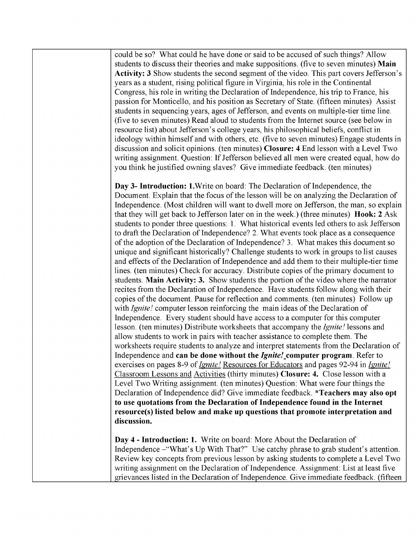could be so? What could he have done or said to be accused of such things? Allow students to discuss their theories and make suppositions. (five to seven minutes) **Main Activity: 3** Show students the second segment of the video. This part covers Jefferson's years as a student, rising political figure in Virginia, his role in the Continental Congress, his role in writing the Declaration of Independence, his trip to France, his passion for Monticello, and his position as Secretary of State. (fifteen minutes) Assist students in sequencing years, ages of Jefferson, and events on multiple-tier time line. (five to seven minutes) Read aloud to students from the Internet source (see below in resource list) about Jefferson's college years, his philosophical beliefs, conflict in ideology within himself and with others, etc. (five to seven minutes) Engage students in discussion and solicit opinions. (ten minutes) **Closure: 4** End lesson with a Level Two writing assignment. Question: If Jefferson believed all men were created equal, how do you think he justified owning slaves? Give immediate feedback. (ten minutes)

**Day 3- Introduction: 1.**Write on board: The Declaration of Independence, the Document. Explain that the focus of the lesson will be on analyzing the Declaration of Independence. (Most children will want to dwell more on Jefferson, the man, so explain that they will get back to Jefferson later on in the week.) (three minutes) **Hook: 2** Ask students to ponder three questions: 1. What historical events led others to ask Jefferson to draft the Declaration of Independence? 2. What events took place as a consequence of the adoption of the Declaration of Independence? 3. What makes this document so unique and significant historically? Challenge students to work in groups to list causes and effects of the Declaration of Independence and add them to their multiple-tier time lines. (ten minutes) Check for accuracy. Distribute copies of the primary document to students. **Main Activity: 3.** Show students the portion of the video where the narrator recites from the Declaration of Independence. Have students follow along with their copies of the document. Pause for reflection and comments. (ten minutes) Follow up with *Ignite!* computer lesson reinforcing the main ideas of the Declaration of Independence. Every student should have access to a computer for this computer lesson. (ten minutes) Distribute worksheets that accompany the *Ignite!* lessons and allow students to work in pairs with teacher assistance to complete them. The worksheets require students to analyze and interpret statements from the Declaration of Independence and **can be done without the** *Ignite/\_computer* **program.** Refer to exercises on pages 8-9 of*Ignite!* Resources for Educators and pages 92-94 in *Ignite!*  Classroom Lessons and Activities (thirty minutes) **Closure: 4.** Close lesson with a Level Two Writing assignment. (ten minutes) Question: What were four things the Declaration of Independence did? Give immediate feedback. **\*Teachers may also opt to use quotations from the Declaration of Independence found in the Internet resource(s) listed below and make up questions that promote interpretation and discussion.** 

**Day 4 - Introduction: 1.** Write on board: More About the Declaration of Independence -"What's Up With That?" Use catchy phrase to grab student's attention. Review key concepts from previous lesson by asking students to complete a Level Two writing assignment on the Declaration of Independence. Assignment: List at least five grievances listed in the Declaration of Independence. Give immediate feedback. (fifteen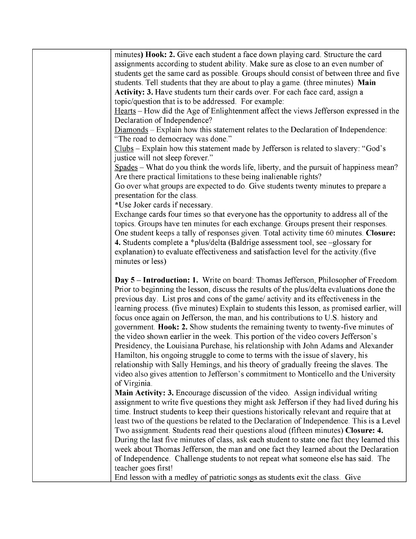minutes) **Hook: 2.** Give each student a face down playing card. Structure the card assignments according to student ability. Make sure as close to an even number of students get the same card as possible. Groups should consist of between three and five students. Tell students that they are about to playa game. (three minutes) **Main Activity: 3.** Have students tum their cards over. For each face card, assign a topic/question that is to be addressed. For example: Hearts – How did the Age of Enlightenment affect the views Jefferson expressed in the Declaration of Independence?  $Diamonds - Explain how this statement relates to the Declaration of Independence:$ "The road to democracy was done." Clubs - Explain how this statement made by Jefferson is related to slavery: "God's justice will not sleep forever." Spades - What do you think the words life, liberty, and the pursuit of happiness mean? Are there practical limitations to these being inalienable rights? Go over what groups are expected to do. Give students twenty minutes to prepare a presentation for the class. \*U se Joker cards if necessary. Exchange cards four times so that everyone has the opportunity to address all of the topics. Groups have ten minutes for each exchange. Groups present their responses. One student keeps a tally of responses given. Total activity time 60 minutes. **Closure: 4.** Students complete a \*plus/delta (Baldrige assessment tool, see -glossary for explanation) to evaluate effectiveness and satisfaction level for the activity.(five minutes or less) **Day 5 - Introduction: 1.** Write on board: Thomas Jefferson, Philosopher of Freedom. Prior to beginning the lesson, discuss the results of the plus/delta evaluations done the previous day. List pros and cons of the game/ activity and its effectiveness in the learning process. (five minutes) Explain to students this lesson, as promised earlier, will focus once again on Jefferson, the man, and his contributions to U.S. history and government. **Hook: 2.** Show students the remaining twenty to twenty-five minutes of the video shown earlier in the week. This portion of the video covers Jefferson's Presidency, the Louisiana Purchase, his relationship with John Adams and Alexander Hamilton, his ongoing struggle to come to terms with the issue of slavery, his relationship with Sally Hemings, and his theory of gradually freeing the slaves. The video also gives attention to Jefferson's commitment to Monticello and the University of Virginia. **Main Activity: 3.** Encourage discussion of the video. Assign individual writing assignment to write five questions they might ask Jefferson if they had lived during his time. Instruct students to keep their questions historically relevant and require that at least two of the questions be related to the Declaration of Independence. This is a Level Two assignment. Students read their questions aloud (fifteen **minutes) Closure: 4.**  During the last five minutes of class, ask each student to state one fact they learned this week about Thomas Jefferson, the man and one fact they learned about the Declaration of Independence. Challenge students to not repeat what someone else has said. The teacher goes first! End lesson with a medley of patriotic songs as students exit the class. Give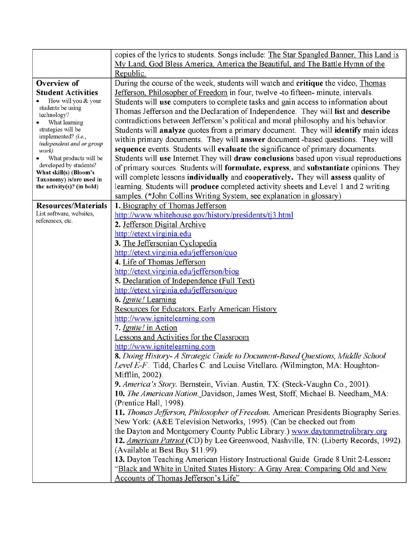|                                                    | copies of the lyrics to students. Songs include: The Star Spangled Banner, This Land is    |
|----------------------------------------------------|--------------------------------------------------------------------------------------------|
|                                                    | My Land, God Bless America, America the Beautiful, and The Battle Hymn of the              |
|                                                    | Republic.                                                                                  |
| <b>Overview of</b>                                 | During the course of the week, students will watch and critique the video, Thomas          |
| <b>Student Activities</b>                          | Jefferson, Philosopher of Freedom in four, twelve -to fifteen- minute, intervals.          |
| How will you & your                                | Students will use computers to complete tasks and gain access to information about         |
| students be using<br>technology?                   | Thomas Jefferson and the Declaration of Independence. They will list and describe          |
| What learning                                      | contradictions between Jefferson's political and moral philosophy and his behavior.        |
| strategies will be                                 | Students will analyze quotes from a primary document. They will identify main ideas        |
| implemented? (i.e.,<br>independent and or group    | within primary documents. They will <b>answer</b> document -based questions. They will     |
| work)                                              | sequence events. Students will evaluate the significance of primary documents.             |
| What products will be                              | Students will use Internet. They will draw conclusions based upon visual reproductions     |
| developed by students?                             | of primary sources. Students will formulate, express, and substantiate opinions. They      |
| What skill(s) (Bloom's<br>Taxonomy) is/are used in | will complete lessons individually and cooperatively. They will assess quality of          |
| the activity $(s)$ ? (in bold)                     | learning. Students will <b>produce</b> completed activity sheets and Level 1 and 2 writing |
|                                                    | samples. (*John Collins Writing System, see explanation in glossary)                       |
| <b>Resources/Materials</b>                         | 1. Biography of Thomas Jefferson                                                           |
| List software, websites,                           | http://www.whitehouse.gov/history/presidents/tj3.html                                      |
| references, etc.                                   | 2. Jefferson Digital Archive                                                               |
|                                                    | http://etext.virginia.edu                                                                  |
|                                                    | 3. The Jeffersonian Cyclopedia                                                             |
|                                                    | http://etext.virginia.edu/jefferson/quo                                                    |
|                                                    | 4. Life of Thomas Jefferson                                                                |
|                                                    | http://etext.virginia.edu/jefferson/biog                                                   |
|                                                    | 5. Declaration of Independence (Full Text)                                                 |
|                                                    | http://etext.virginia.edu/jefferson/quo                                                    |
|                                                    | 6. Ignite! Learning                                                                        |
|                                                    | Resources for Educators, Early American History                                            |
|                                                    | http://www.ignitelearning.com                                                              |
|                                                    | 7. Ignite! in Action                                                                       |
|                                                    | Lessons and Activities for the Classroom                                                   |
|                                                    | http://www.ignitelearning.com                                                              |
|                                                    | 8. Doing History- A Strategic Guide to Document-Based Questions, Middle School             |
|                                                    | Level E-F. Tidd, Charles C. and Louise Vitellaro. (Wilmington, MA: Houghton-               |
|                                                    | Mifflin, 2002).                                                                            |
|                                                    | 9. America's Story. Bernstein, Vivian. Austin, TX: (Steck-Vaughn Co., 2001).               |
|                                                    | 10. The American Nation. Davidson, James West, Stoff, Michael B. Needham, MA:              |
|                                                    | (Prentice Hall, 1998).                                                                     |
|                                                    | 11. Thomas Jefferson, Philosopher of Freedom. American Presidents Biography Series.        |
|                                                    | New York: (A&E Television Networks, 1995). (Can be checked out from                        |
|                                                    | the Dayton and Montgomery County Public Library.) www.daytonmetrolibrary.org               |
|                                                    | 12. American Patriot (CD) by Lee Greenwood, Nashville, TN: (Liberty Records, 1992).        |
|                                                    | (Available at Best Buy \$11.99).                                                           |
|                                                    | 13. Dayton Teaching American History Instructional Guide Grade 8 Unit 2-Lesson:            |
|                                                    | "Black and White in United States History: A Gray Area: Comparing Old and New              |
|                                                    | Accounts of Thomas Jefferson's Life"                                                       |